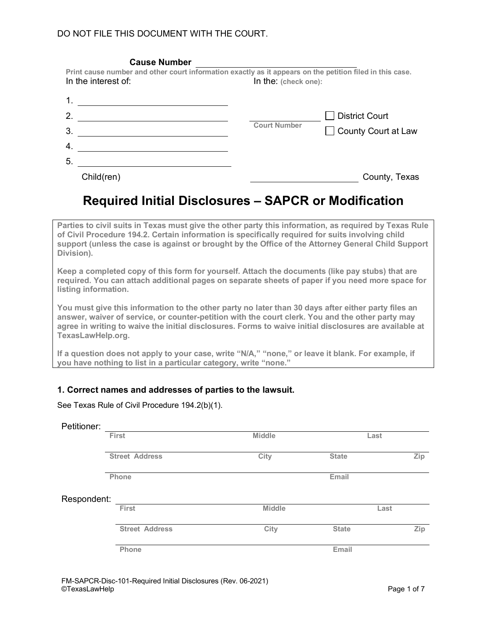| <b>Cause Number</b>                                                                                                             |                      |                       |
|---------------------------------------------------------------------------------------------------------------------------------|----------------------|-----------------------|
| Print cause number and other court information exactly as it appears on the petition filed in this case.<br>In the interest of: | In the: (check one): |                       |
|                                                                                                                                 |                      |                       |
| 2.                                                                                                                              |                      | District Court        |
| 3.                                                                                                                              | <b>Court Number</b>  | □ County Court at Law |
| $\overline{4}$                                                                                                                  |                      |                       |
| 5.                                                                                                                              |                      |                       |
| Child(ren)                                                                                                                      |                      | County, Texas         |

# **Required Initial Disclosures – SAPCR or Modification**

**Parties to civil suits in Texas must give the other party this information, as required by Texas Rule of Civil Procedure 194.2. Certain information is specifically required for suits involving child support (unless the case is against or brought by the Office of the Attorney General Child Support Division).** 

**Keep a completed copy of this form for yourself. Attach the documents (like pay stubs) that are required. You can attach additional pages on separate sheets of paper if you need more space for listing information.** 

**You must give this information to the other party no later than 30 days after either party files an answer, waiver of service, or counter-petition with the court clerk. You and the other party may agree in writing to waive the initial disclosures. Forms to waive initial disclosures are available at TexasLawHelp.org.**

**If a question does not apply to your case, write "N/A," "none," or leave it blank. For example, if you have nothing to list in a particular category, write "none."** 

#### **1. Correct names and addresses of parties to the lawsuit.**

|  |  | See Texas Rule of Civil Procedure 194.2(b)(1). |  |
|--|--|------------------------------------------------|--|
|  |  |                                                |  |

| Petitioner: |                       |               |              |      |
|-------------|-----------------------|---------------|--------------|------|
|             | First                 | Middle        | Last         |      |
|             | <b>Street Address</b> | City          | <b>State</b> | Zip  |
|             | Phone                 |               | Email        |      |
| Respondent: |                       |               |              |      |
|             | First                 | <b>Middle</b> |              | Last |
|             | <b>Street Address</b> | City          | <b>State</b> | Zip  |
|             | Phone                 |               | Email        |      |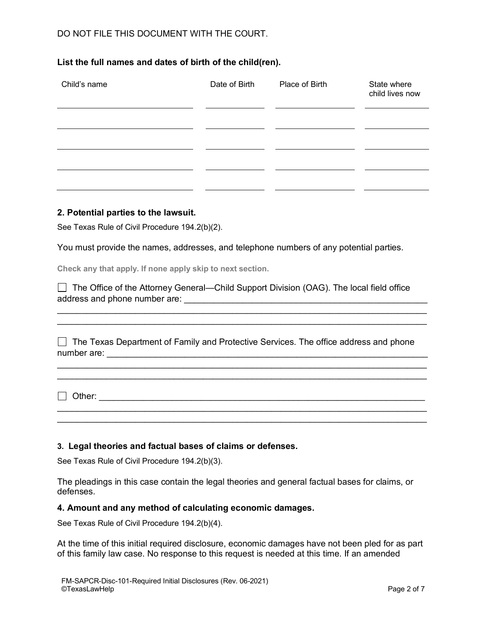# DO NOT FILE THIS DOCUMENT WITH THE COURT.

# **List the full names and dates of birth of the child(ren).**

| Child's name | Date of Birth | Place of Birth | State where<br>child lives now |
|--------------|---------------|----------------|--------------------------------|
|              |               |                |                                |
|              |               |                |                                |
|              |               |                |                                |

#### **2. Potential parties to the lawsuit.**

See Texas Rule of Civil Procedure 194.2(b)(2).

You must provide the names, addresses, and telephone numbers of any potential parties.

**Check any that apply. If none apply skip to next section.** 

 The Office of the Attorney General—Child Support Division (OAG). The local field office address and phone number are: \_\_\_\_\_\_\_\_\_\_\_\_\_\_\_\_\_\_\_\_\_\_\_\_\_\_\_\_\_\_\_\_\_\_\_\_\_\_\_\_\_\_\_\_\_\_\_\_\_\_

 $\Box$  The Texas Department of Family and Protective Services. The office address and phone number are: \_\_\_\_\_\_\_\_\_\_\_\_\_\_\_\_\_\_\_\_\_\_\_\_\_\_\_\_\_\_\_\_\_\_\_\_\_\_\_\_\_\_\_\_\_\_\_\_\_\_\_\_\_\_\_\_\_\_\_\_\_\_\_\_\_\_

\_\_\_\_\_\_\_\_\_\_\_\_\_\_\_\_\_\_\_\_\_\_\_\_\_\_\_\_\_\_\_\_\_\_\_\_\_\_\_\_\_\_\_\_\_\_\_\_\_\_\_\_\_\_\_\_\_\_\_\_\_\_\_\_\_\_\_\_\_\_\_\_\_\_\_\_

\_\_\_\_\_\_\_\_\_\_\_\_\_\_\_\_\_\_\_\_\_\_\_\_\_\_\_\_\_\_\_\_\_\_\_\_\_\_\_\_\_\_\_\_\_\_\_\_\_\_\_\_\_\_\_\_\_\_\_\_\_\_\_\_\_\_\_\_\_\_\_\_\_\_\_\_  $\mathcal{L}_\mathcal{L} = \{ \mathcal{L}_\mathcal{L} = \{ \mathcal{L}_\mathcal{L} = \{ \mathcal{L}_\mathcal{L} = \{ \mathcal{L}_\mathcal{L} = \{ \mathcal{L}_\mathcal{L} = \{ \mathcal{L}_\mathcal{L} = \{ \mathcal{L}_\mathcal{L} = \{ \mathcal{L}_\mathcal{L} = \{ \mathcal{L}_\mathcal{L} = \{ \mathcal{L}_\mathcal{L} = \{ \mathcal{L}_\mathcal{L} = \{ \mathcal{L}_\mathcal{L} = \{ \mathcal{L}_\mathcal{L} = \{ \mathcal{L}_\mathcal{$ 

 $\mathcal{L}_\mathcal{L} = \{ \mathcal{L}_\mathcal{L} = \{ \mathcal{L}_\mathcal{L} = \{ \mathcal{L}_\mathcal{L} = \{ \mathcal{L}_\mathcal{L} = \{ \mathcal{L}_\mathcal{L} = \{ \mathcal{L}_\mathcal{L} = \{ \mathcal{L}_\mathcal{L} = \{ \mathcal{L}_\mathcal{L} = \{ \mathcal{L}_\mathcal{L} = \{ \mathcal{L}_\mathcal{L} = \{ \mathcal{L}_\mathcal{L} = \{ \mathcal{L}_\mathcal{L} = \{ \mathcal{L}_\mathcal{L} = \{ \mathcal{L}_\mathcal{$ \_\_\_\_\_\_\_\_\_\_\_\_\_\_\_\_\_\_\_\_\_\_\_\_\_\_\_\_\_\_\_\_\_\_\_\_\_\_\_\_\_\_\_\_\_\_\_\_\_\_\_\_\_\_\_\_\_\_\_\_\_\_\_\_\_\_\_\_\_\_\_\_\_\_\_\_

Other: \_\_\_\_\_\_\_\_\_\_\_\_\_\_\_\_\_\_\_\_\_\_\_\_\_\_\_\_\_\_\_\_\_\_\_\_\_\_\_\_\_\_\_\_\_\_\_\_\_\_\_\_\_\_\_\_\_\_\_\_\_\_\_\_\_\_\_

# **3. Legal theories and factual bases of claims or defenses.**

See Texas Rule of Civil Procedure 194.2(b)(3).

The pleadings in this case contain the legal theories and general factual bases for claims, or defenses.

#### **4. Amount and any method of calculating economic damages.**

See Texas Rule of Civil Procedure 194.2(b)(4).

At the time of this initial required disclosure, economic damages have not been pled for as part of this family law case. No response to this request is needed at this time. If an amended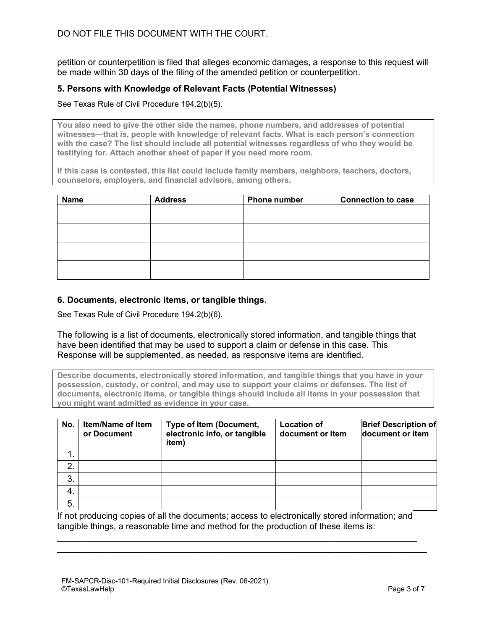petition or counterpetition is filed that alleges economic damages, a response to this request will be made within 30 days of the filing of the amended petition or counterpetition.

#### **5. Persons with Knowledge of Relevant Facts (Potential Witnesses)**

See Texas Rule of Civil Procedure 194.2(b)(5).

**You also need to give the other side the names, phone numbers, and addresses of potential witnesses—that is, people with knowledge of relevant facts. What is each person's connection with the case? The list should include all potential witnesses regardless of who they would be testifying for. Attach another sheet of paper if you need more room.**

**If this case is contested, this list could include family members, neighbors, teachers, doctors, counselors, employers, and financial advisors, among others.** 

| <b>Name</b> | <b>Address</b> | Phone number | <b>Connection to case</b> |
|-------------|----------------|--------------|---------------------------|
|             |                |              |                           |
|             |                |              |                           |
|             |                |              |                           |
|             |                |              |                           |
|             |                |              |                           |
|             |                |              |                           |
|             |                |              |                           |
|             |                |              |                           |

#### **6. Documents, electronic items, or tangible things.**

See Texas Rule of Civil Procedure 194.2(b)(6).

The following is a list of documents, electronically stored information, and tangible things that have been identified that may be used to support a claim or defense in this case. This Response will be supplemented, as needed, as responsive items are identified.

**Describe documents, electronically stored information, and tangible things that you have in your possession, custody, or control, and may use to support your claims or defenses. The list of documents, electronic items, or tangible things should include all items in your possession that you might want admitted as evidence in your case.** 

| No. | <b>Item/Name of Item</b><br>or Document | Type of Item (Document,<br>electronic info, or tangible<br>item) | <b>Location of</b><br>document or item | <b>Brief Description of</b><br>document or item |
|-----|-----------------------------------------|------------------------------------------------------------------|----------------------------------------|-------------------------------------------------|
|     |                                         |                                                                  |                                        |                                                 |
| 2.  |                                         |                                                                  |                                        |                                                 |
| 3.  |                                         |                                                                  |                                        |                                                 |
| 4.  |                                         |                                                                  |                                        |                                                 |
| 5.  |                                         |                                                                  |                                        |                                                 |

If not producing copies of all the documents; access to electronically stored information; and tangible things, a reasonable time and method for the production of these items is:

 $\mathcal{L}_\mathcal{L} = \{ \mathcal{L}_\mathcal{L} = \{ \mathcal{L}_\mathcal{L} = \{ \mathcal{L}_\mathcal{L} = \{ \mathcal{L}_\mathcal{L} = \{ \mathcal{L}_\mathcal{L} = \{ \mathcal{L}_\mathcal{L} = \{ \mathcal{L}_\mathcal{L} = \{ \mathcal{L}_\mathcal{L} = \{ \mathcal{L}_\mathcal{L} = \{ \mathcal{L}_\mathcal{L} = \{ \mathcal{L}_\mathcal{L} = \{ \mathcal{L}_\mathcal{L} = \{ \mathcal{L}_\mathcal{L} = \{ \mathcal{L}_\mathcal{$  $\mathcal{L}_\mathcal{L} = \{ \mathcal{L}_\mathcal{L} = \{ \mathcal{L}_\mathcal{L} = \{ \mathcal{L}_\mathcal{L} = \{ \mathcal{L}_\mathcal{L} = \{ \mathcal{L}_\mathcal{L} = \{ \mathcal{L}_\mathcal{L} = \{ \mathcal{L}_\mathcal{L} = \{ \mathcal{L}_\mathcal{L} = \{ \mathcal{L}_\mathcal{L} = \{ \mathcal{L}_\mathcal{L} = \{ \mathcal{L}_\mathcal{L} = \{ \mathcal{L}_\mathcal{L} = \{ \mathcal{L}_\mathcal{L} = \{ \mathcal{L}_\mathcal{$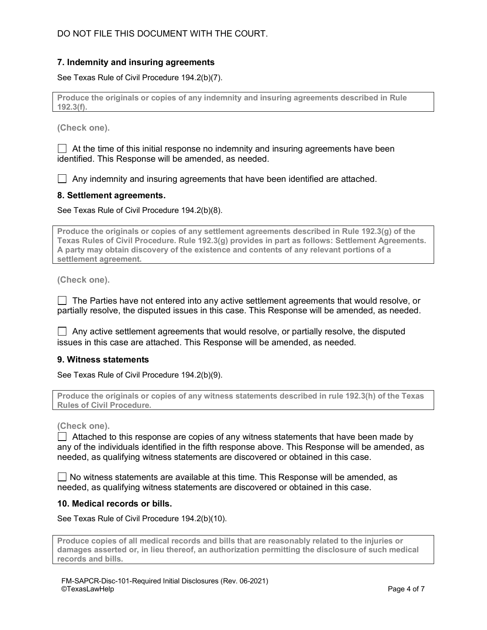#### **7. Indemnity and insuring agreements**

See Texas Rule of Civil Procedure 194.2(b)(7).

**Produce the originals or copies of any indemnity and insuring agreements described in Rule 192.3(f).**

**(Check one).**

 $\Box$  At the time of this initial response no indemnity and insuring agreements have been identified. This Response will be amended, as needed.

 $\Box$  Any indemnity and insuring agreements that have been identified are attached.

#### **8. Settlement agreements.**

See Texas Rule of Civil Procedure 194.2(b)(8).

**Produce the originals or copies of any settlement agreements described in Rule 192.3(g) of the Texas Rules of Civil Procedure. Rule 192.3(g) provides in part as follows: Settlement Agreements. A party may obtain discovery of the existence and contents of any relevant portions of a settlement agreement.**

**(Check one).**

 $\Box$  The Parties have not entered into any active settlement agreements that would resolve, or partially resolve, the disputed issues in this case. This Response will be amended, as needed.

 $\Box$  Any active settlement agreements that would resolve, or partially resolve, the disputed issues in this case are attached. This Response will be amended, as needed.

#### **9. Witness statements**

See Texas Rule of Civil Procedure 194.2(b)(9).

**Produce the originals or copies of any witness statements described in rule 192.3(h) of the Texas Rules of Civil Procedure.**

**(Check one).**

 $\Box$  Attached to this response are copies of any witness statements that have been made by any of the individuals identified in the fifth response above. This Response will be amended, as needed, as qualifying witness statements are discovered or obtained in this case.

 $\Box$  No witness statements are available at this time. This Response will be amended, as needed, as qualifying witness statements are discovered or obtained in this case.

#### **10. Medical records or bills.**

See Texas Rule of Civil Procedure 194.2(b)(10).

**Produce copies of all medical records and bills that are reasonably related to the injuries or damages asserted or, in lieu thereof, an authorization permitting the disclosure of such medical records and bills.**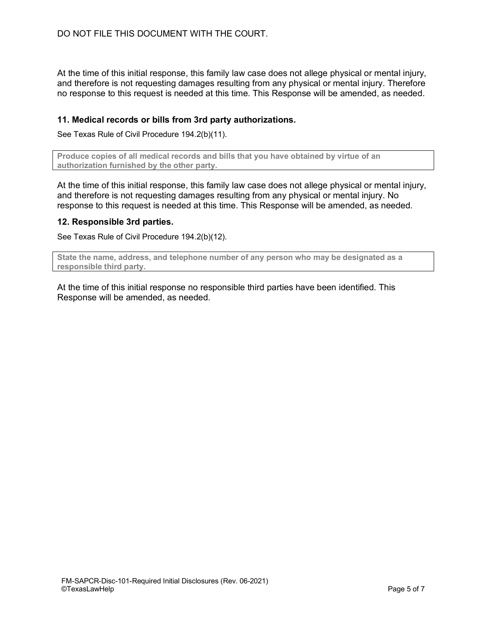At the time of this initial response, this family law case does not allege physical or mental injury, and therefore is not requesting damages resulting from any physical or mental injury. Therefore no response to this request is needed at this time. This Response will be amended, as needed.

#### **11. Medical records or bills from 3rd party authorizations.**

See Texas Rule of Civil Procedure 194.2(b)(11).

**Produce copies of all medical records and bills that you have obtained by virtue of an authorization furnished by the other party.**

At the time of this initial response, this family law case does not allege physical or mental injury, and therefore is not requesting damages resulting from any physical or mental injury. No response to this request is needed at this time. This Response will be amended, as needed.

#### **12. Responsible 3rd parties.**

See Texas Rule of Civil Procedure 194.2(b)(12).

**State the name, address, and telephone number of any person who may be designated as a responsible third party.**

At the time of this initial response no responsible third parties have been identified. This Response will be amended, as needed.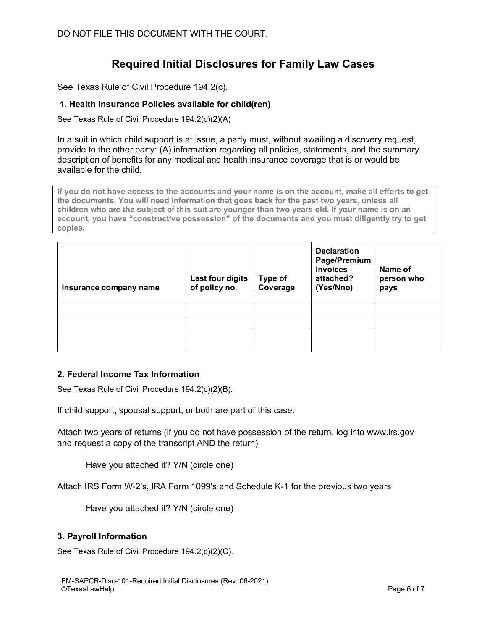# **Required Initial Disclosures for Family Law Cases**

See Texas Rule of Civil Procedure 194.2(c).

# **1. Health Insurance Policies available for child(ren)**

See Texas Rule of Civil Procedure 194.2(c)(2)(A)

In a suit in which child support is at issue, a party must, without awaiting a discovery request, provide to the other party: (A) information regarding all policies, statements, and the summary description of benefits for any medical and health insurance coverage that is or would be available for the child.

**If you do not have access to the accounts and your name is on the account, make all efforts to get the documents. You will need information that goes back for the past two years, unless all children who are the subject of this suit are younger than two years old. If your name is on an account, you have "constructive possession" of the documents and you must diligently try to get copies.** 

| Insurance company name | Last four digits<br>of policy no. | Type of<br>Coverage | <b>Declaration</b><br>Page/Premium<br>invoices<br>attached?<br>(Yes/Nno) | Name of<br>person who<br>pays |
|------------------------|-----------------------------------|---------------------|--------------------------------------------------------------------------|-------------------------------|
|                        |                                   |                     |                                                                          |                               |
|                        |                                   |                     |                                                                          |                               |
|                        |                                   |                     |                                                                          |                               |
|                        |                                   |                     |                                                                          |                               |
|                        |                                   |                     |                                                                          |                               |

# **2. Federal Income Tax Information**

See Texas Rule of Civil Procedure 194.2(c)(2)(B).

If child support, spousal support, or both are part of this case:

Attach two years of returns (if you do not have possession of the return, log into www.irs.gov and request a copy of the transcript AND the return)

Have you attached it? Y/N (circle one)

Attach IRS Form W-2's, IRA Form 1099's and Schedule K-1 for the previous two years

Have you attached it? Y/N (circle one)

# **3. Payroll Information**

See Texas Rule of Civil Procedure 194.2(c)(2)(C).